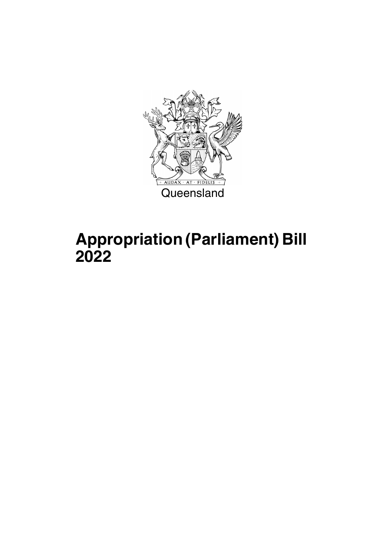

# **Appropriation (Parliament) Bill 2022**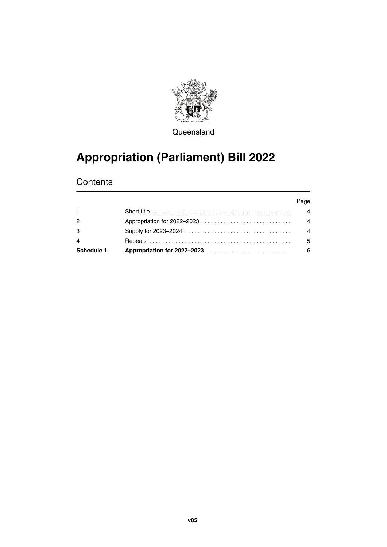

**Queensland** 

### **Appropriation (Parliament) Bill 2022**

### **Contents**

| Schedule 1 |                                                                                                          | - 6            |
|------------|----------------------------------------------------------------------------------------------------------|----------------|
| 4          |                                                                                                          | .5             |
| 3          |                                                                                                          | $\overline{4}$ |
| 2          |                                                                                                          | $\overline{4}$ |
|            | Short title $\ldots \ldots \ldots \ldots \ldots \ldots \ldots \ldots \ldots \ldots \ldots \ldots \ldots$ | 4              |
|            |                                                                                                          | Page           |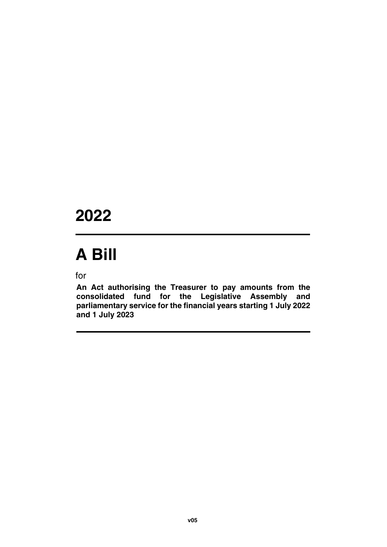# **2022**

# **A Bill**

for

**An Act authorising the Treasurer to pay amounts from the consolidated fund for the Legislative Assembly and parliamentary service for the financial years starting 1 July 2022 and 1 July 2023**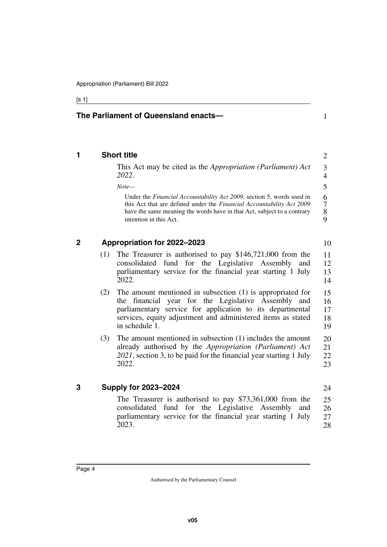#### [s 1]

#### **The Parliament of Queensland enacts—**

#### <span id="page-5-0"></span>**1 Short title**

<span id="page-5-1"></span>This Act may be cited as the *Appropriation (Parliament) Act 2022*.

1

10

24

*Note—*

Under the *Financial Accountability Act 2009*, section 5, words used in this Act that are defined under the *Financial Accountability Act 2009* have the same meaning the words have in that Act, subject to a contrary intention in this Act. 6 7 8  $\overline{Q}$ 

#### <span id="page-5-2"></span>**2 Appropriation for 2022–2023**

- <span id="page-5-3"></span>(1) The Treasurer is authorised to pay \$146,721,000 from the consolidated fund for the Legislative Assembly and parliamentary service for the financial year starting 1 July 2022. 11 12 13 14
- (2) The amount mentioned in subsection (1) is appropriated for the financial year for the Legislative Assembly and parliamentary service for application to its departmental services, equity adjustment and administered items as stated in schedule 1. 15 16 17 18 19
- (3) The amount mentioned in subsection (1) includes the amount already authorised by the *Appropriation (Parliament) Act 2021*, section 3, to be paid for the financial year starting 1 July 2022. 20 21 22 23

#### <span id="page-5-4"></span>**3 Supply for 2023–2024**

<span id="page-5-5"></span>The Treasurer is authorised to pay \$73,361,000 from the consolidated fund for the Legislative Assembly and parliamentary service for the financial year starting 1 July 2023. 25 26 27 28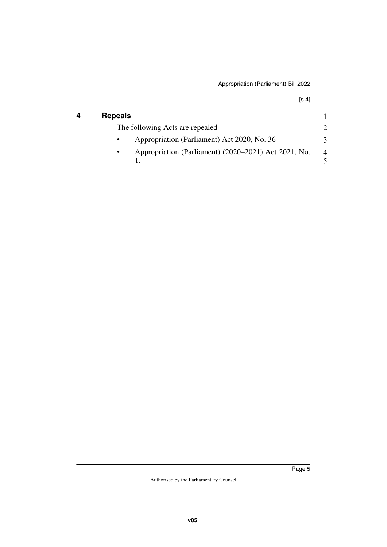[s 4]

<span id="page-6-1"></span><span id="page-6-0"></span>

| 4 | <b>Repeals</b>                                            |                |
|---|-----------------------------------------------------------|----------------|
|   | The following Acts are repealed—                          |                |
|   | Appropriation (Parliament) Act 2020, No. 36               | 3              |
|   | Appropriation (Parliament) (2020–2021) Act 2021, No.<br>٠ | $\overline{4}$ |
|   |                                                           |                |